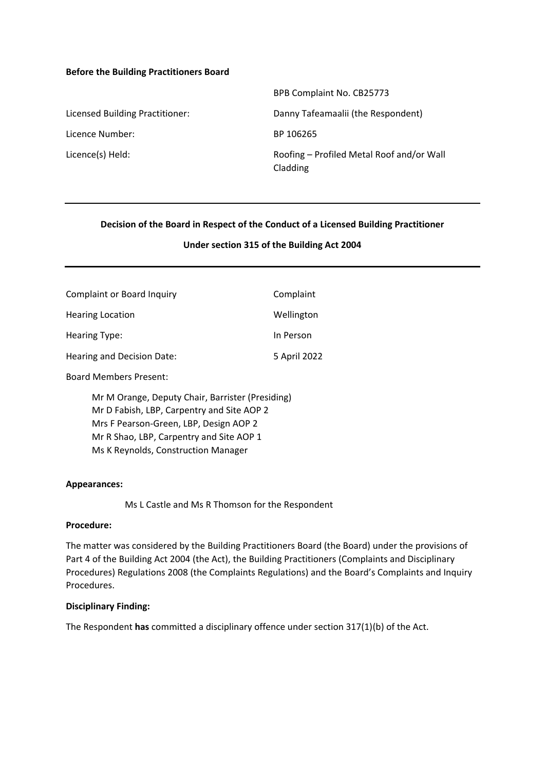### **Before the Building Practitioners Board**

|                                 | <b>Dr D COMPRIME NO. CDZJ773</b>                      |
|---------------------------------|-------------------------------------------------------|
| Licensed Building Practitioner: | Danny Tafeamaalii (the Respondent)                    |
| Licence Number:                 | BP 106265                                             |
| Licence(s) Held:                | Roofing - Profiled Metal Roof and/or Wall<br>Cladding |

### **Decision of the Board in Respect of the Conduct of a Licensed Building Practitioner**

BPB Complaint No. CB25773

### **Under section 315 of the Building Act 2004**

| Complaint or Board Inquiry                             | Complaint    |  |
|--------------------------------------------------------|--------------|--|
| <b>Hearing Location</b>                                | Wellington   |  |
| Hearing Type:                                          | In Person    |  |
| Hearing and Decision Date:                             | 5 April 2022 |  |
| <b>Board Members Present:</b>                          |              |  |
| $M_{\mu}$ M. Orange Banutu Chair Barrietar (Broadling) |              |  |

Mr M Orange, Deputy Chair, Barrister (Presiding) Mr D Fabish, LBP, Carpentry and Site AOP 2 Mrs F Pearson-Green, LBP, Design AOP 2 Mr R Shao, LBP, Carpentry and Site AOP 1 Ms K Reynolds, Construction Manager

#### **Appearances:**

Ms L Castle and Ms R Thomson for the Respondent

#### **Procedure:**

The matter was considered by the Building Practitioners Board (the Board) under the provisions of Part 4 of the Building Act 2004 (the Act), the Building Practitioners (Complaints and Disciplinary Procedures) Regulations 2008 (the Complaints Regulations) and the Board's Complaints and Inquiry Procedures.

### **Disciplinary Finding:**

The Respondent **has** committed a disciplinary offence under section 317(1)(b) of the Act.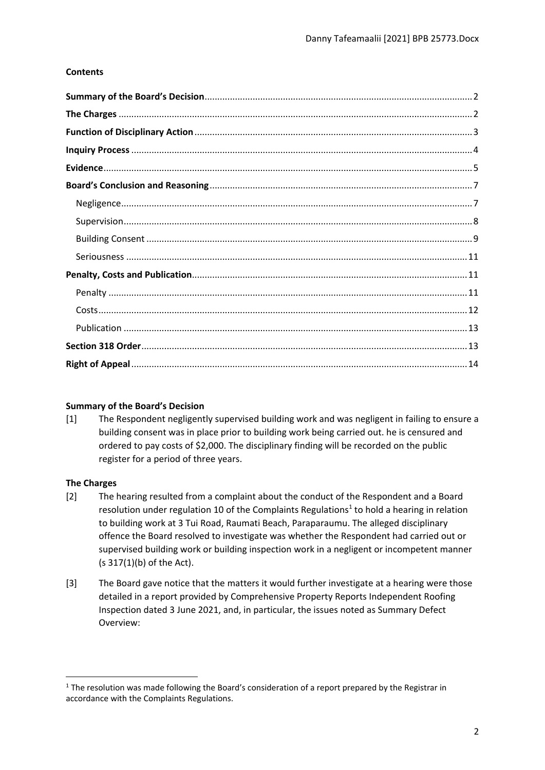# **Contents**

### <span id="page-1-0"></span>**Summary of the Board's Decision**

[1] The Respondent negligently supervised building work and was negligent in failing to ensure a building consent was in place prior to building work being carried out. he is censured and ordered to pay costs of \$2,000. The disciplinary finding will be recorded on the public register for a period of three years.

# <span id="page-1-1"></span>**The Charges**

- [2] The hearing resulted from a complaint about the conduct of the Respondent and a Board resolution under regulation 10 of the Complaints Regulations<sup>1</sup> to hold a hearing in relation to building work at 3 Tui Road, Raumati Beach, Paraparaumu. The alleged disciplinary offence the Board resolved to investigate was whether the Respondent had carried out or supervised building work or building inspection work in a negligent or incompetent manner (s 317(1)(b) of the Act).
- [3] The Board gave notice that the matters it would further investigate at a hearing were those detailed in a report provided by Comprehensive Property Reports Independent Roofing Inspection dated 3 June 2021, and, in particular, the issues noted as Summary Defect Overview:

<sup>&</sup>lt;sup>1</sup> The resolution was made following the Board's consideration of a report prepared by the Registrar in accordance with the Complaints Regulations.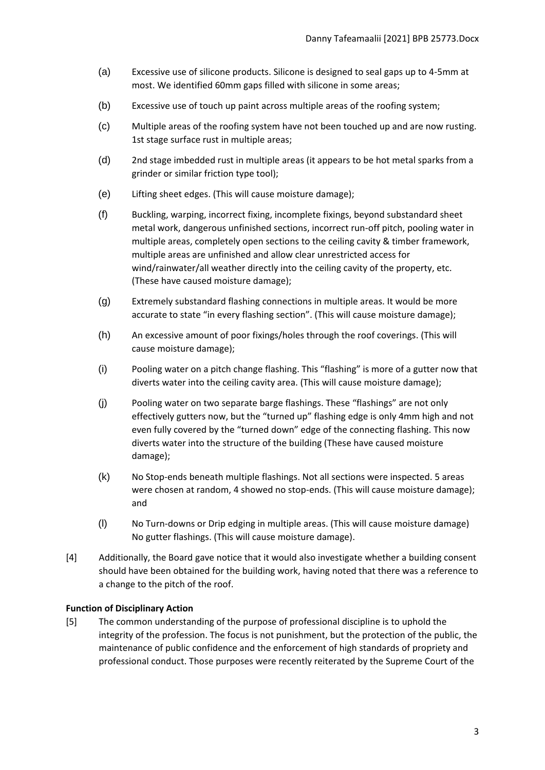- (a) Excessive use of silicone products. Silicone is designed to seal gaps up to 4-5mm at most. We identified 60mm gaps filled with silicone in some areas;
- (b) Excessive use of touch up paint across multiple areas of the roofing system;
- (c) Multiple areas of the roofing system have not been touched up and are now rusting. 1st stage surface rust in multiple areas;
- (d) 2nd stage imbedded rust in multiple areas (it appears to be hot metal sparks from a grinder or similar friction type tool);
- (e) Lifting sheet edges. (This will cause moisture damage);
- (f) Buckling, warping, incorrect fixing, incomplete fixings, beyond substandard sheet metal work, dangerous unfinished sections, incorrect run-off pitch, pooling water in multiple areas, completely open sections to the ceiling cavity & timber framework, multiple areas are unfinished and allow clear unrestricted access for wind/rainwater/all weather directly into the ceiling cavity of the property, etc. (These have caused moisture damage);
- (g) Extremely substandard flashing connections in multiple areas. It would be more accurate to state "in every flashing section". (This will cause moisture damage);
- (h) An excessive amount of poor fixings/holes through the roof coverings. (This will cause moisture damage);
- (i) Pooling water on a pitch change flashing. This "flashing" is more of a gutter now that diverts water into the ceiling cavity area. (This will cause moisture damage);
- (j) Pooling water on two separate barge flashings. These "flashings" are not only effectively gutters now, but the "turned up" flashing edge is only 4mm high and not even fully covered by the "turned down" edge of the connecting flashing. This now diverts water into the structure of the building (These have caused moisture damage);
- (k) No Stop-ends beneath multiple flashings. Not all sections were inspected. 5 areas were chosen at random, 4 showed no stop-ends. (This will cause moisture damage); and
- (l) No Turn-downs or Drip edging in multiple areas. (This will cause moisture damage) No gutter flashings. (This will cause moisture damage).
- [4] Additionally, the Board gave notice that it would also investigate whether a building consent should have been obtained for the building work, having noted that there was a reference to a change to the pitch of the roof.

# <span id="page-2-0"></span>**Function of Disciplinary Action**

[5] The common understanding of the purpose of professional discipline is to uphold the integrity of the profession. The focus is not punishment, but the protection of the public, the maintenance of public confidence and the enforcement of high standards of propriety and professional conduct. Those purposes were recently reiterated by the Supreme Court of the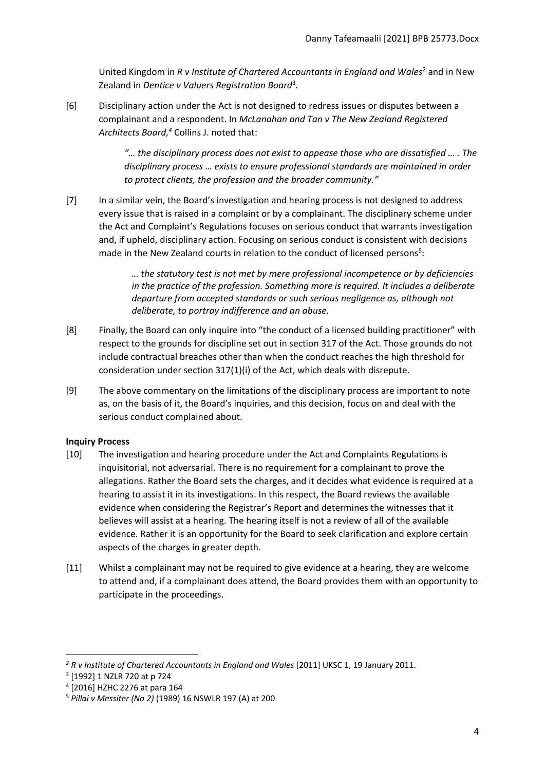United Kingdom in *R v Institute of Chartered Accountants in England and Wales<sup>2</sup> and in New* Zealand in *Dentice v Valuers Registration Board*<sup>3</sup> *.*

[6] Disciplinary action under the Act is not designed to redress issues or disputes between a complainant and a respondent. In *McLanahan and Tan v The New Zealand Registered Architects Board, <sup>4</sup>* Collins J. noted that:

> *"… the disciplinary process does not exist to appease those who are dissatisfied … . The disciplinary process … exists to ensure professional standards are maintained in order to protect clients, the profession and the broader community."*

[7] In a similar vein, the Board's investigation and hearing process is not designed to address every issue that is raised in a complaint or by a complainant. The disciplinary scheme under the Act and Complaint's Regulations focuses on serious conduct that warrants investigation and, if upheld, disciplinary action. Focusing on serious conduct is consistent with decisions made in the New Zealand courts in relation to the conduct of licensed persons<sup>5</sup>:

> *… the statutory test is not met by mere professional incompetence or by deficiencies in the practice of the profession. Something more is required. It includes a deliberate departure from accepted standards or such serious negligence as, although not deliberate, to portray indifference and an abuse.*

- [8] Finally, the Board can only inquire into "the conduct of a licensed building practitioner" with respect to the grounds for discipline set out in section 317 of the Act. Those grounds do not include contractual breaches other than when the conduct reaches the high threshold for consideration under section 317(1)(i) of the Act, which deals with disrepute.
- [9] The above commentary on the limitations of the disciplinary process are important to note as, on the basis of it, the Board's inquiries, and this decision, focus on and deal with the serious conduct complained about.

# <span id="page-3-0"></span>**Inquiry Process**

- [10] The investigation and hearing procedure under the Act and Complaints Regulations is inquisitorial, not adversarial. There is no requirement for a complainant to prove the allegations. Rather the Board sets the charges, and it decides what evidence is required at a hearing to assist it in its investigations. In this respect, the Board reviews the available evidence when considering the Registrar's Report and determines the witnesses that it believes will assist at a hearing. The hearing itself is not a review of all of the available evidence. Rather it is an opportunity for the Board to seek clarification and explore certain aspects of the charges in greater depth.
- [11] Whilst a complainant may not be required to give evidence at a hearing, they are welcome to attend and, if a complainant does attend, the Board provides them with an opportunity to participate in the proceedings.

*<sup>2</sup> R v Institute of Chartered Accountants in England and Wales* [2011] UKSC 1, 19 January 2011.

<sup>3</sup> [1992] 1 NZLR 720 at p 724

<sup>4</sup> [2016] HZHC 2276 at para 164

<sup>5</sup> *Pillai v Messiter (No 2)* (1989) 16 NSWLR 197 (A) at 200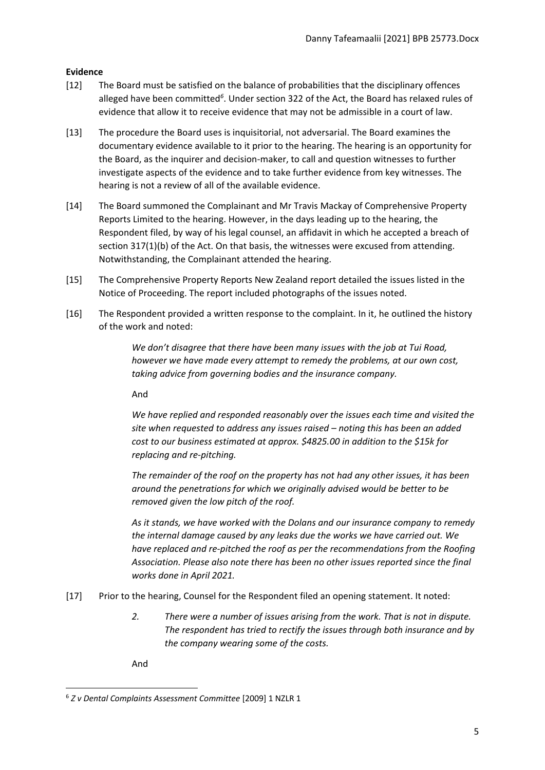# <span id="page-4-0"></span>**Evidence**

- [12] The Board must be satisfied on the balance of probabilities that the disciplinary offences alleged have been committed<sup>6</sup>. Under section 322 of the Act, the Board has relaxed rules of evidence that allow it to receive evidence that may not be admissible in a court of law.
- [13] The procedure the Board uses is inquisitorial, not adversarial. The Board examines the documentary evidence available to it prior to the hearing. The hearing is an opportunity for the Board, as the inquirer and decision-maker, to call and question witnesses to further investigate aspects of the evidence and to take further evidence from key witnesses. The hearing is not a review of all of the available evidence.
- [14] The Board summoned the Complainant and Mr Travis Mackay of Comprehensive Property Reports Limited to the hearing. However, in the days leading up to the hearing, the Respondent filed, by way of his legal counsel, an affidavit in which he accepted a breach of section 317(1)(b) of the Act. On that basis, the witnesses were excused from attending. Notwithstanding, the Complainant attended the hearing.
- [15] The Comprehensive Property Reports New Zealand report detailed the issues listed in the Notice of Proceeding. The report included photographs of the issues noted.
- [16] The Respondent provided a written response to the complaint. In it, he outlined the history of the work and noted:

*We don't disagree that there have been many issues with the job at Tui Road, however we have made every attempt to remedy the problems, at our own cost, taking advice from governing bodies and the insurance company.*

And

*We have replied and responded reasonably over the issues each time and visited the site when requested to address any issues raised – noting this has been an added cost to our business estimated at approx. \$4825.00 in addition to the \$15k for replacing and re-pitching.*

*The remainder of the roof on the property has not had any other issues, it has been around the penetrations for which we originally advised would be better to be removed given the low pitch of the roof.*

*As it stands, we have worked with the Dolans and our insurance company to remedy the internal damage caused by any leaks due the works we have carried out. We have replaced and re-pitched the roof as per the recommendations from the Roofing Association. Please also note there has been no other issues reported since the final works done in April 2021.*

- [17] Prior to the hearing, Counsel for the Respondent filed an opening statement. It noted:
	- *2. There were a number of issues arising from the work. That is not in dispute. The respondent has tried to rectify the issues through both insurance and by the company wearing some of the costs.*

And

<sup>6</sup> *Z v Dental Complaints Assessment Committee* [2009] 1 NZLR 1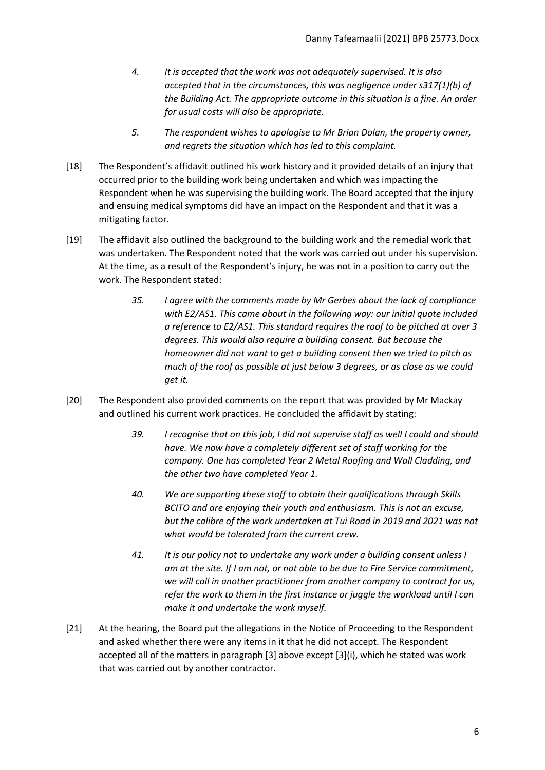- *4. It is accepted that the work was not adequately supervised. It is also accepted that in the circumstances, this was negligence under s317(1)(b) of the Building Act. The appropriate outcome in this situation is a fine. An order for usual costs will also be appropriate.*
- *5. The respondent wishes to apologise to Mr Brian Dolan, the property owner, and regrets the situation which has led to this complaint.*
- [18] The Respondent's affidavit outlined his work history and it provided details of an injury that occurred prior to the building work being undertaken and which was impacting the Respondent when he was supervising the building work. The Board accepted that the injury and ensuing medical symptoms did have an impact on the Respondent and that it was a mitigating factor.
- [19] The affidavit also outlined the background to the building work and the remedial work that was undertaken. The Respondent noted that the work was carried out under his supervision. At the time, as a result of the Respondent's injury, he was not in a position to carry out the work. The Respondent stated:
	- *35. I agree with the comments made by Mr Gerbes about the lack of compliance with E2/AS1. This came about in the following way: our initial quote included a reference to E2/AS1. This standard requires the roof to be pitched at over 3 degrees. This would also require a building consent. But because the homeowner did not want to get a building consent then we tried to pitch as much of the roof as possible at just below 3 degrees, or as close as we could get it.*
- [20] The Respondent also provided comments on the report that was provided by Mr Mackay and outlined his current work practices. He concluded the affidavit by stating:
	- *39. I recognise that on this job, I did not supervise staff as well I could and should have. We now have a completely different set of staff working for the company. One has completed Year 2 Metal Roofing and Wall Cladding, and the other two have completed Year 1.*
	- *40. We are supporting these staff to obtain their qualifications through Skills BCITO and are enjoying their youth and enthusiasm. This is not an excuse, but the calibre of the work undertaken at Tui Road in 2019 and 2021 was not what would be tolerated from the current crew.*
	- *41. It is our policy not to undertake any work under a building consent unless I am at the site. If I am not, or not able to be due to Fire Service commitment, we will call in another practitioner from another company to contract for us, refer the work to them in the first instance or juggle the workload until I can make it and undertake the work myself.*
- [21] At the hearing, the Board put the allegations in the Notice of Proceeding to the Respondent and asked whether there were any items in it that he did not accept. The Respondent accepted all of the matters in paragraph [3] above except [3](i), which he stated was work that was carried out by another contractor.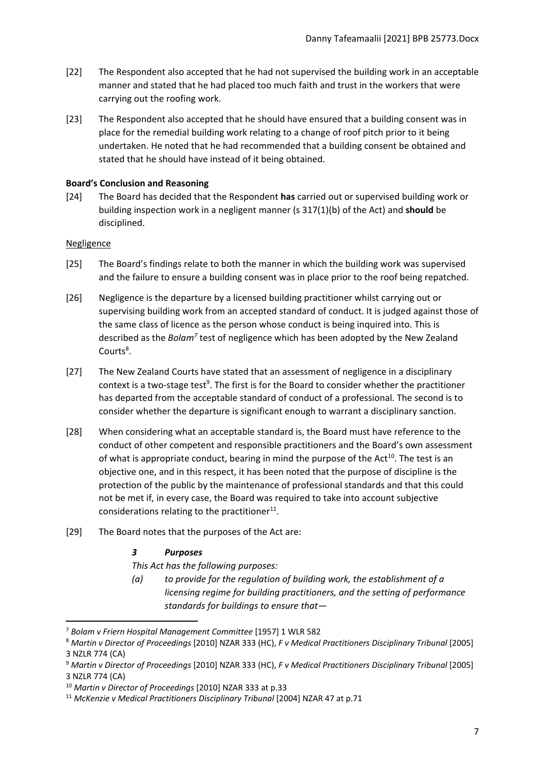- [22] The Respondent also accepted that he had not supervised the building work in an acceptable manner and stated that he had placed too much faith and trust in the workers that were carrying out the roofing work.
- [23] The Respondent also accepted that he should have ensured that a building consent was in place for the remedial building work relating to a change of roof pitch prior to it being undertaken. He noted that he had recommended that a building consent be obtained and stated that he should have instead of it being obtained.

### <span id="page-6-0"></span>**Board's Conclusion and Reasoning**

[24] The Board has decided that the Respondent **has** carried out or supervised building work or building inspection work in a negligent manner (s 317(1)(b) of the Act) and **should** be disciplined.

### <span id="page-6-1"></span>**Negligence**

- [25] The Board's findings relate to both the manner in which the building work was supervised and the failure to ensure a building consent was in place prior to the roof being repatched.
- [26] Negligence is the departure by a licensed building practitioner whilst carrying out or supervising building work from an accepted standard of conduct. It is judged against those of the same class of licence as the person whose conduct is being inquired into. This is described as the *Bolam<sup>7</sup>* test of negligence which has been adopted by the New Zealand Courts<sup>8</sup>.
- [27] The New Zealand Courts have stated that an assessment of negligence in a disciplinary context is a two-stage test<sup>9</sup>. The first is for the Board to consider whether the practitioner has departed from the acceptable standard of conduct of a professional. The second is to consider whether the departure is significant enough to warrant a disciplinary sanction.
- [28] When considering what an acceptable standard is, the Board must have reference to the conduct of other competent and responsible practitioners and the Board's own assessment of what is appropriate conduct, bearing in mind the purpose of the Act<sup>10</sup>. The test is an objective one, and in this respect, it has been noted that the purpose of discipline is the protection of the public by the maintenance of professional standards and that this could not be met if, in every case, the Board was required to take into account subjective considerations relating to the practitioner $^{11}$ .
- [29] The Board notes that the purposes of the Act are:

# *3 Purposes*

*This Act has the following purposes:*

*(a) to provide for the regulation of building work, the establishment of a licensing regime for building practitioners, and the setting of performance standards for buildings to ensure that—*

<sup>7</sup> *Bolam v Friern Hospital Management Committee* [1957] 1 WLR 582

<sup>8</sup> *Martin v Director of Proceedings* [2010] NZAR 333 (HC), *F v Medical Practitioners Disciplinary Tribunal* [2005] 3 NZLR 774 (CA)

<sup>9</sup> *Martin v Director of Proceedings* [2010] NZAR 333 (HC), *F v Medical Practitioners Disciplinary Tribunal* [2005] 3 NZLR 774 (CA)

<sup>10</sup> *Martin v Director of Proceedings* [2010] NZAR 333 at p.33

<sup>11</sup> *McKenzie v Medical Practitioners Disciplinary Tribunal* [2004] NZAR 47 at p.71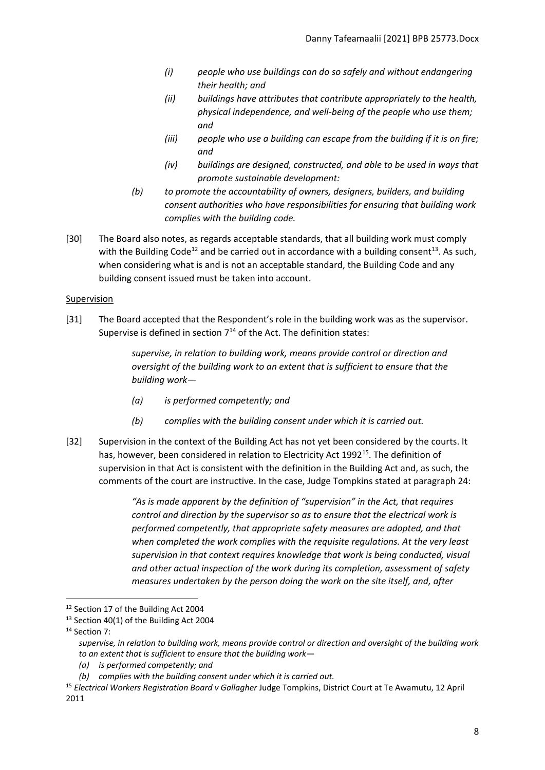- *(i) people who use buildings can do so safely and without endangering their health; and*
- *(ii) buildings have attributes that contribute appropriately to the health, physical independence, and well-being of the people who use them; and*
- *(iii) people who use a building can escape from the building if it is on fire; and*
- *(iv) buildings are designed, constructed, and able to be used in ways that promote sustainable development:*
- *(b) to promote the accountability of owners, designers, builders, and building consent authorities who have responsibilities for ensuring that building work complies with the building code.*
- [30] The Board also notes, as regards acceptable standards, that all building work must comply with the Building Code<sup>12</sup> and be carried out in accordance with a building consent<sup>13</sup>. As such, when considering what is and is not an acceptable standard, the Building Code and any building consent issued must be taken into account.

# <span id="page-7-0"></span>Supervision

[31] The Board accepted that the Respondent's role in the building work was as the supervisor. Supervise is defined in section  $7^{14}$  of the Act. The definition states:

> *supervise, in relation to building work, means provide control or direction and oversight of the building work to an extent that is sufficient to ensure that the building work—*

- *(a) is performed competently; and*
- *(b) complies with the building consent under which it is carried out.*
- [32] Supervision in the context of the Building Act has not yet been considered by the courts. It has, however, been considered in relation to Electricity Act 1992<sup>15</sup>. The definition of supervision in that Act is consistent with the definition in the Building Act and, as such, the comments of the court are instructive. In the case, Judge Tompkins stated at paragraph 24:

*"As is made apparent by the definition of "supervision" in the Act, that requires control and direction by the supervisor so as to ensure that the electrical work is performed competently, that appropriate safety measures are adopted, and that when completed the work complies with the requisite regulations. At the very least supervision in that context requires knowledge that work is being conducted, visual and other actual inspection of the work during its completion, assessment of safety measures undertaken by the person doing the work on the site itself, and, after* 

<sup>&</sup>lt;sup>12</sup> Section 17 of the Building Act 2004

<sup>&</sup>lt;sup>13</sup> Section 40(1) of the Building Act 2004

<sup>&</sup>lt;sup>14</sup> Section 7:

*supervise, in relation to building work, means provide control or direction and oversight of the building work to an extent that is sufficient to ensure that the building work—*

*<sup>(</sup>a) is performed competently; and*

*<sup>(</sup>b) complies with the building consent under which it is carried out.*

<sup>15</sup> *Electrical Workers Registration Board v Gallagher* Judge Tompkins, District Court at Te Awamutu, 12 April 2011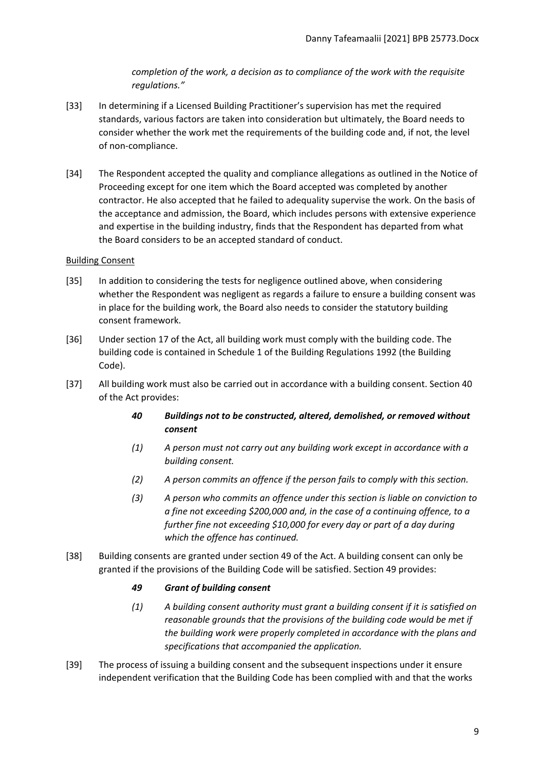*completion of the work, a decision as to compliance of the work with the requisite regulations."*

- [33] In determining if a Licensed Building Practitioner's supervision has met the required standards, various factors are taken into consideration but ultimately, the Board needs to consider whether the work met the requirements of the building code and, if not, the level of non-compliance.
- [34] The Respondent accepted the quality and compliance allegations as outlined in the Notice of Proceeding except for one item which the Board accepted was completed by another contractor. He also accepted that he failed to adequality supervise the work. On the basis of the acceptance and admission, the Board, which includes persons with extensive experience and expertise in the building industry, finds that the Respondent has departed from what the Board considers to be an accepted standard of conduct.

# <span id="page-8-0"></span>Building Consent

- [35] In addition to considering the tests for negligence outlined above, when considering whether the Respondent was negligent as regards a failure to ensure a building consent was in place for the building work, the Board also needs to consider the statutory building consent framework.
- [36] Under section 17 of the Act, all building work must comply with the building code. The building code is contained in Schedule 1 of the Building Regulations 1992 (the Building Code).
- [37] All building work must also be carried out in accordance with a building consent. Section 40 of the Act provides:
	- *40 Buildings not to be constructed, altered, demolished, or removed without consent*
	- *(1) A person must not carry out any building work except in accordance with a building consent.*
	- *(2) A person commits an offence if the person fails to comply with this section.*
	- *(3) A person who commits an offence under this section is liable on conviction to a fine not exceeding \$200,000 and, in the case of a continuing offence, to a further fine not exceeding \$10,000 for every day or part of a day during which the offence has continued.*
- [38] Building consents are granted under section 49 of the Act. A building consent can only be granted if the provisions of the Building Code will be satisfied. Section 49 provides:

# *49 Grant of building consent*

- *(1) A building consent authority must grant a building consent if it is satisfied on reasonable grounds that the provisions of the building code would be met if the building work were properly completed in accordance with the plans and specifications that accompanied the application.*
- [39] The process of issuing a building consent and the subsequent inspections under it ensure independent verification that the Building Code has been complied with and that the works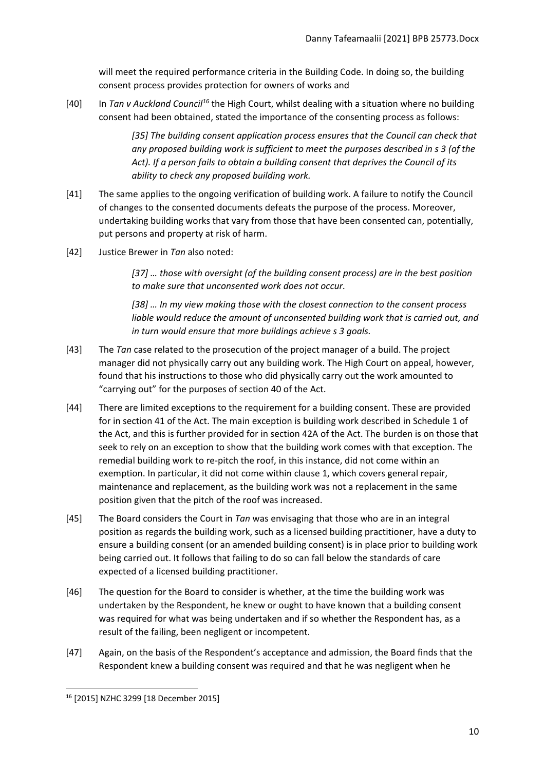will meet the required performance criteria in the Building Code. In doing so, the building consent process provides protection for owners of works and

[40] In *Tan v Auckland Council<sup>16</sup>* the High Court, whilst dealing with a situation where no building consent had been obtained, stated the importance of the consenting process as follows:

> *[35] The building consent application process ensures that the Council can check that any proposed building work is sufficient to meet the purposes described in s 3 (of the Act). If a person fails to obtain a building consent that deprives the Council of its ability to check any proposed building work.*

- [41] The same applies to the ongoing verification of building work. A failure to notify the Council of changes to the consented documents defeats the purpose of the process. Moreover, undertaking building works that vary from those that have been consented can, potentially, put persons and property at risk of harm.
- [42] Justice Brewer in *Tan* also noted:

*[37] … those with oversight (of the building consent process) are in the best position to make sure that unconsented work does not occur.* 

*[38] … In my view making those with the closest connection to the consent process liable would reduce the amount of unconsented building work that is carried out, and in turn would ensure that more buildings achieve s 3 goals.*

- [43] The *Tan* case related to the prosecution of the project manager of a build. The project manager did not physically carry out any building work. The High Court on appeal, however, found that his instructions to those who did physically carry out the work amounted to "carrying out" for the purposes of section 40 of the Act.
- [44] There are limited exceptions to the requirement for a building consent. These are provided for in section 41 of the Act. The main exception is building work described in Schedule 1 of the Act, and this is further provided for in section 42A of the Act. The burden is on those that seek to rely on an exception to show that the building work comes with that exception. The remedial building work to re-pitch the roof, in this instance, did not come within an exemption. In particular, it did not come within clause 1, which covers general repair, maintenance and replacement, as the building work was not a replacement in the same position given that the pitch of the roof was increased.
- [45] The Board considers the Court in *Tan* was envisaging that those who are in an integral position as regards the building work, such as a licensed building practitioner, have a duty to ensure a building consent (or an amended building consent) is in place prior to building work being carried out. It follows that failing to do so can fall below the standards of care expected of a licensed building practitioner.
- [46] The question for the Board to consider is whether, at the time the building work was undertaken by the Respondent, he knew or ought to have known that a building consent was required for what was being undertaken and if so whether the Respondent has, as a result of the failing, been negligent or incompetent.
- [47] Again, on the basis of the Respondent's acceptance and admission, the Board finds that the Respondent knew a building consent was required and that he was negligent when he

<sup>16</sup> [2015] NZHC 3299 [18 December 2015]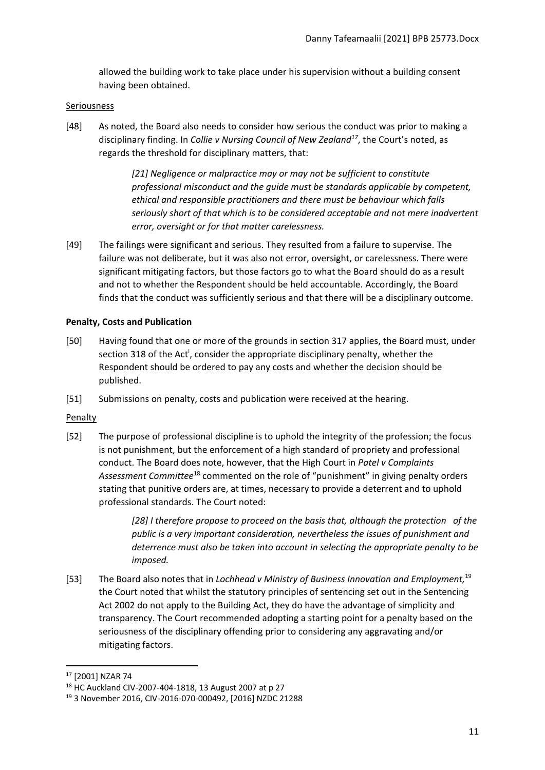allowed the building work to take place under his supervision without a building consent having been obtained.

### <span id="page-10-0"></span>Seriousness

[48] As noted, the Board also needs to consider how serious the conduct was prior to making a disciplinary finding. In *Collie v Nursing Council of New Zealand<sup>17</sup>*, the Court's noted, as regards the threshold for disciplinary matters, that:

> *[21] Negligence or malpractice may or may not be sufficient to constitute professional misconduct and the guide must be standards applicable by competent, ethical and responsible practitioners and there must be behaviour which falls seriously short of that which is to be considered acceptable and not mere inadvertent error, oversight or for that matter carelessness.*

[49] The failings were significant and serious. They resulted from a failure to supervise. The failure was not deliberate, but it was also not error, oversight, or carelessness. There were significant mitigating factors, but those factors go to what the Board should do as a result and not to whether the Respondent should be held accountable. Accordingly, the Board finds that the conduct was sufficiently serious and that there will be a disciplinary outcome.

# <span id="page-10-1"></span>**Penalty, Costs and Publication**

- [50] Having found that one or more of the grounds in section 317 applies, the Board must, under section 318 of the Act<sup>i</sup>, consider the appropriate disciplinary penalty, whether the Respondent should be ordered to pay any costs and whether the decision should be published.
- [51] Submissions on penalty, costs and publication were received at the hearing.

### <span id="page-10-2"></span>Penalty

[52] The purpose of professional discipline is to uphold the integrity of the profession; the focus is not punishment, but the enforcement of a high standard of propriety and professional conduct. The Board does note, however, that the High Court in *Patel v Complaints Assessment Committee*<sup>18</sup> commented on the role of "punishment" in giving penalty orders stating that punitive orders are, at times, necessary to provide a deterrent and to uphold professional standards. The Court noted:

> *[28] I therefore propose to proceed on the basis that, although the protection of the public is a very important consideration, nevertheless the issues of punishment and deterrence must also be taken into account in selecting the appropriate penalty to be imposed.*

[53] The Board also notes that in *Lochhead v Ministry of Business Innovation and Employment,* 19 the Court noted that whilst the statutory principles of sentencing set out in the Sentencing Act 2002 do not apply to the Building Act, they do have the advantage of simplicity and transparency. The Court recommended adopting a starting point for a penalty based on the seriousness of the disciplinary offending prior to considering any aggravating and/or mitigating factors.

<sup>17</sup> [2001] NZAR 74

<sup>18</sup> HC Auckland CIV-2007-404-1818, 13 August 2007 at p 27

<sup>19</sup> 3 November 2016, CIV-2016-070-000492, [2016] NZDC 21288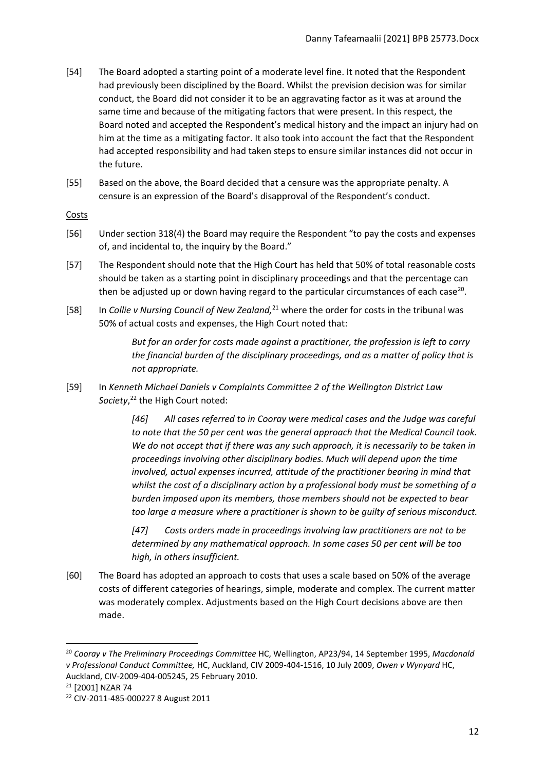- [54] The Board adopted a starting point of a moderate level fine. It noted that the Respondent had previously been disciplined by the Board. Whilst the prevision decision was for similar conduct, the Board did not consider it to be an aggravating factor as it was at around the same time and because of the mitigating factors that were present. In this respect, the Board noted and accepted the Respondent's medical history and the impact an injury had on him at the time as a mitigating factor. It also took into account the fact that the Respondent had accepted responsibility and had taken steps to ensure similar instances did not occur in the future.
- [55] Based on the above, the Board decided that a censure was the appropriate penalty. A censure is an expression of the Board's disapproval of the Respondent's conduct.

<span id="page-11-0"></span>Costs

- [56] Under section 318(4) the Board may require the Respondent "to pay the costs and expenses of, and incidental to, the inquiry by the Board."
- [57] The Respondent should note that the High Court has held that 50% of total reasonable costs should be taken as a starting point in disciplinary proceedings and that the percentage can then be adjusted up or down having regard to the particular circumstances of each case<sup>20</sup>.
- [58] In *Collie v Nursing Council of New Zealand,*<sup>21</sup> where the order for costs in the tribunal was 50% of actual costs and expenses, the High Court noted that:

*But for an order for costs made against a practitioner, the profession is left to carry the financial burden of the disciplinary proceedings, and as a matter of policy that is not appropriate.*

[59] In *Kenneth Michael Daniels v Complaints Committee 2 of the Wellington District Law Society*, <sup>22</sup> the High Court noted:

> *[46] All cases referred to in Cooray were medical cases and the Judge was careful to note that the 50 per cent was the general approach that the Medical Council took. We do not accept that if there was any such approach, it is necessarily to be taken in proceedings involving other disciplinary bodies. Much will depend upon the time involved, actual expenses incurred, attitude of the practitioner bearing in mind that whilst the cost of a disciplinary action by a professional body must be something of a burden imposed upon its members, those members should not be expected to bear too large a measure where a practitioner is shown to be guilty of serious misconduct.*

*[47] Costs orders made in proceedings involving law practitioners are not to be determined by any mathematical approach. In some cases 50 per cent will be too high, in others insufficient.*

[60] The Board has adopted an approach to costs that uses a scale based on 50% of the average costs of different categories of hearings, simple, moderate and complex. The current matter was moderately complex. Adjustments based on the High Court decisions above are then made.

<sup>20</sup> *Cooray v The Preliminary Proceedings Committee* HC, Wellington, AP23/94, 14 September 1995, *Macdonald v Professional Conduct Committee,* HC, Auckland, CIV 2009-404-1516, 10 July 2009, *Owen v Wynyard* HC, Auckland, CIV-2009-404-005245, 25 February 2010.

<sup>21</sup> [2001] NZAR 74

<sup>22</sup> CIV-2011-485-000227 8 August 2011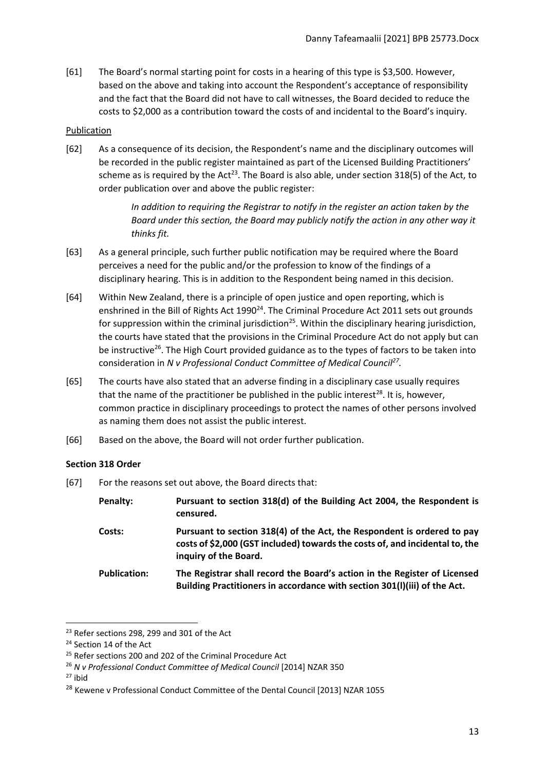[61] The Board's normal starting point for costs in a hearing of this type is \$3,500. However, based on the above and taking into account the Respondent's acceptance of responsibility and the fact that the Board did not have to call witnesses, the Board decided to reduce the costs to \$2,000 as a contribution toward the costs of and incidental to the Board's inquiry.

# <span id="page-12-0"></span>Publication

[62] As a consequence of its decision, the Respondent's name and the disciplinary outcomes will be recorded in the public register maintained as part of the Licensed Building Practitioners' scheme as is required by the Act<sup>23</sup>. The Board is also able, under section 318(5) of the Act, to order publication over and above the public register:

> *In addition to requiring the Registrar to notify in the register an action taken by the Board under this section, the Board may publicly notify the action in any other way it thinks fit.*

- [63] As a general principle, such further public notification may be required where the Board perceives a need for the public and/or the profession to know of the findings of a disciplinary hearing. This is in addition to the Respondent being named in this decision.
- [64] Within New Zealand, there is a principle of open justice and open reporting, which is enshrined in the Bill of Rights Act 1990<sup>24</sup>. The Criminal Procedure Act 2011 sets out grounds for suppression within the criminal jurisdiction<sup>25</sup>. Within the disciplinary hearing jurisdiction, the courts have stated that the provisions in the Criminal Procedure Act do not apply but can be instructive<sup>26</sup>. The High Court provided guidance as to the types of factors to be taken into consideration in *N v Professional Conduct Committee of Medical Council<sup>27</sup> .*
- [65] The courts have also stated that an adverse finding in a disciplinary case usually requires that the name of the practitioner be published in the public interest<sup>28</sup>. It is, however, common practice in disciplinary proceedings to protect the names of other persons involved as naming them does not assist the public interest.
- [66] Based on the above, the Board will not order further publication.

# <span id="page-12-1"></span>**Section 318 Order**

[67] For the reasons set out above, the Board directs that:

| <b>Penalty:</b>     | Pursuant to section 318(d) of the Building Act 2004, the Respondent is<br>censured.                                                                                              |
|---------------------|----------------------------------------------------------------------------------------------------------------------------------------------------------------------------------|
| Costs:              | Pursuant to section 318(4) of the Act, the Respondent is ordered to pay<br>costs of \$2,000 (GST included) towards the costs of, and incidental to, the<br>inquiry of the Board. |
| <b>Publication:</b> | The Registrar shall record the Board's action in the Register of Licensed<br>Building Practitioners in accordance with section 301(I)(iii) of the Act.                           |

<sup>&</sup>lt;sup>23</sup> Refer sections 298, 299 and 301 of the Act

<sup>&</sup>lt;sup>24</sup> Section 14 of the Act

<sup>&</sup>lt;sup>25</sup> Refer sections 200 and 202 of the Criminal Procedure Act

<sup>26</sup> *N v Professional Conduct Committee of Medical Council* [2014] NZAR 350

 $27$  ibid

<sup>&</sup>lt;sup>28</sup> Kewene v Professional Conduct Committee of the Dental Council [2013] NZAR 1055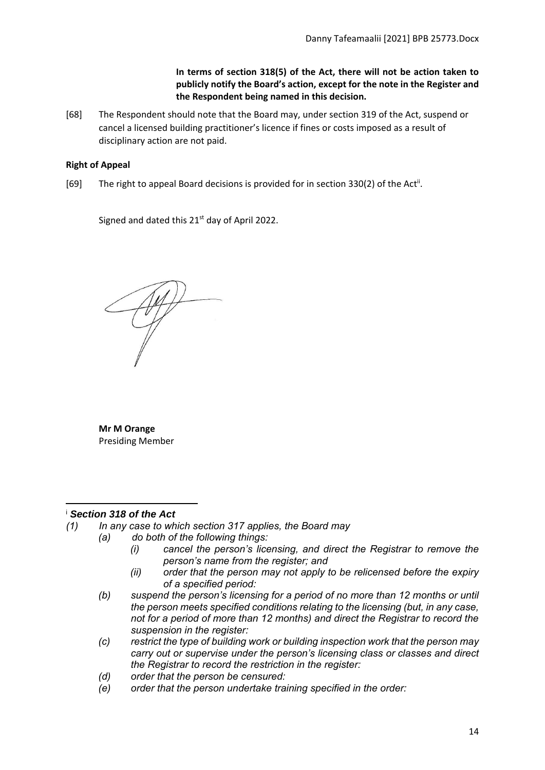# **In terms of section 318(5) of the Act, there will not be action taken to publicly notify the Board's action, except for the note in the Register and the Respondent being named in this decision.**

[68] The Respondent should note that the Board may, under section 319 of the Act, suspend or cancel a licensed building practitioner's licence if fines or costs imposed as a result of disciplinary action are not paid.

# <span id="page-13-0"></span>**Right of Appeal**

[69] The right to appeal Board decisions is provided for in section 330(2) of the Act<sup>ii</sup>.

Signed and dated this 21<sup>st</sup> day of April 2022.

**Mr M Orange**  Presiding Member

# <sup>i</sup> *Section 318 of the Act*

- *(1) In any case to which section 317 applies, the Board may*
	- *(a) do both of the following things:*
		- *(i) cancel the person's licensing, and direct the Registrar to remove the person's name from the register; and*
		- *(ii) order that the person may not apply to be relicensed before the expiry of a specified period:*
		- *(b) suspend the person's licensing for a period of no more than 12 months or until the person meets specified conditions relating to the licensing (but, in any case, not for a period of more than 12 months) and direct the Registrar to record the suspension in the register:*
		- *(c) restrict the type of building work or building inspection work that the person may carry out or supervise under the person's licensing class or classes and direct the Registrar to record the restriction in the register:*
		- *(d) order that the person be censured:*
		- *(e) order that the person undertake training specified in the order:*